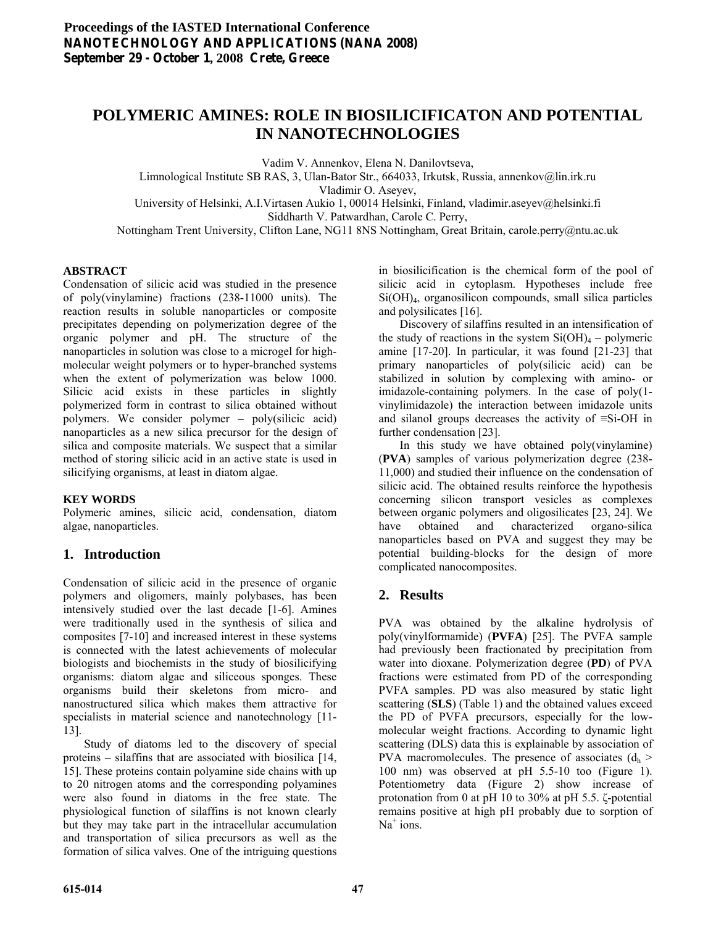# **POLYMERIC AMINES: ROLE IN BIOSILICIFICATON AND POTENTIAL IN NANOTECHNOLOGIES**

Vadim V. Annenkov, Elena N. Danilovtseva,

Limnological Institute SB RAS, 3, Ulan-Bator Str., 664033, Irkutsk, Russia, annenkov@lin.irk.ru

Vladimir O. Aseyev,

University of Helsinki, A.I.Virtasen Aukio 1, 00014 Helsinki, Finland, vladimir.aseyev@helsinki.fi Siddharth V. Patwardhan, Carole C. Perry,

Nottingham Trent University, Clifton Lane, NG11 8NS Nottingham, Great Britain, carole.perry@ntu.ac.uk

#### **ABSTRACT**

Condensation of silicic acid was studied in the presence of poly(vinylamine) fractions (238-11000 units). The reaction results in soluble nanoparticles or composite precipitates depending on polymerization degree of the organic polymer and pH. The structure of the nanoparticles in solution was close to a microgel for highmolecular weight polymers or to hyper-branched systems when the extent of polymerization was below 1000. Silicic acid exists in these particles in slightly polymerized form in contrast to silica obtained without polymers. We consider polymer – poly(silicic acid) nanoparticles as a new silica precursor for the design of silica and composite materials. We suspect that a similar method of storing silicic acid in an active state is used in silicifying organisms, at least in diatom algae.

#### **KEY WORDS**

Polymeric amines, silicic acid, condensation, diatom algae, nanoparticles.

### **1. Introduction**

Condensation of silicic acid in the presence of organic polymers and oligomers, mainly polybases, has been intensively studied over the last decade [1-6]. Amines were traditionally used in the synthesis of silica and composites [7-10] and increased interest in these systems is connected with the latest achievements of molecular biologists and biochemists in the study of biosilicifying organisms: diatom algae and siliceous sponges. These organisms build their skeletons from micro- and nanostructured silica which makes them attractive for specialists in material science and nanotechnology [11-13].

 Study of diatoms led to the discovery of special proteins – silaffins that are associated with biosilica [14, 15]. These proteins contain polyamine side chains with up to 20 nitrogen atoms and the corresponding polyamines were also found in diatoms in the free state. The physiological function of silaffins is not known clearly but they may take part in the intracellular accumulation and transportation of silica precursors as well as the formation of silica valves. One of the intriguing questions

in biosilicification is the chemical form of the pool of silicic acid in cytoplasm. Hypotheses include free Si(OH)4, organosilicon compounds, small silica particles and polysilicates [16].

 Discovery of silaffins resulted in an intensification of the study of reactions in the system  $Si(OH)<sub>4</sub> - polymeric$ amine [17-20]. In particular, it was found [21-23] that primary nanoparticles of poly(silicic acid) can be stabilized in solution by complexing with amino- or imidazole-containing polymers. In the case of poly(1 vinylimidazole) the interaction between imidazole units and silanol groups decreases the activity of ≡Si-OH in further condensation [23].

 In this study we have obtained poly(vinylamine) (**PVA**) samples of various polymerization degree (238- 11,000) and studied their influence on the condensation of silicic acid. The obtained results reinforce the hypothesis concerning silicon transport vesicles as complexes between organic polymers and oligosilicates [23, 24]. We have obtained and characterized organo-silica nanoparticles based on PVA and suggest they may be potential building-blocks for the design of more complicated nanocomposites.

## **2. Results**

PVA was obtained by the alkaline hydrolysis of poly(vinylformamide) (**PVFA**) [25]. The PVFA sample had previously been fractionated by precipitation from water into dioxane. Polymerization degree (**PD**) of PVA fractions were estimated from PD of the corresponding PVFA samples. PD was also measured by static light scattering (**SLS**) (Table 1) and the obtained values exceed the PD of PVFA precursors, especially for the lowmolecular weight fractions. According to dynamic light scattering (DLS) data this is explainable by association of PVA macromolecules. The presence of associates  $(d<sub>h</sub> >$ 100 nm) was observed at pH 5.5-10 too (Figure 1). Potentiometry data (Figure 2) show increase of protonation from 0 at pH 10 to 30% at pH 5.5. ζ-potential remains positive at high pH probably due to sorption of Na<sup>+</sup> ions.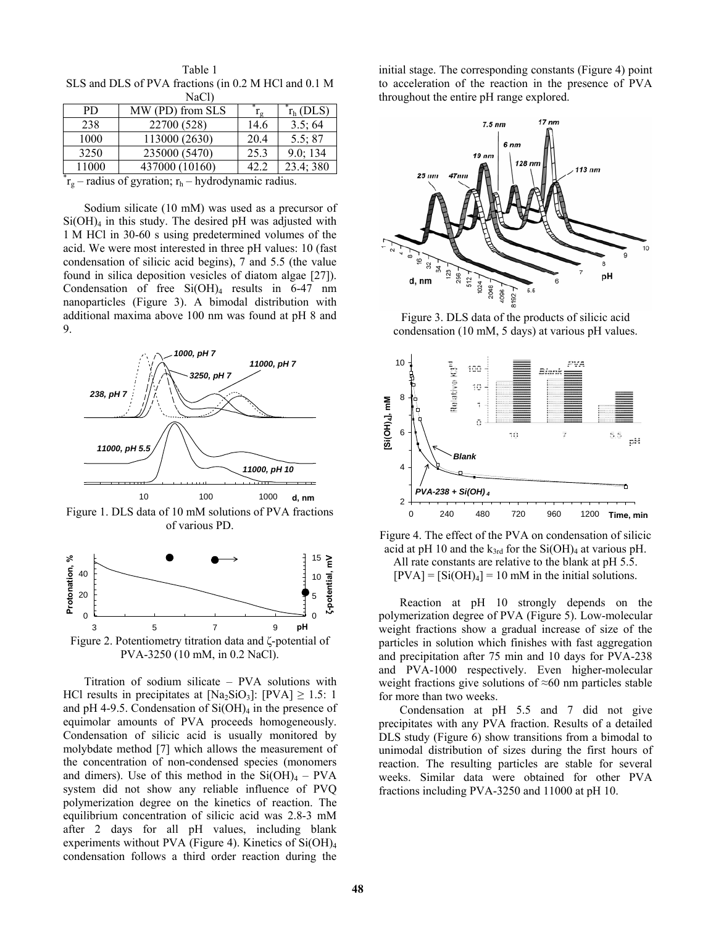| NaCl)                                                    |                  |                 |                   |
|----------------------------------------------------------|------------------|-----------------|-------------------|
| PD.                                                      | MW (PD) from SLS | $\rm r_{\rm g}$ | $r_{\rm h}$ (DLS) |
| 238                                                      | 22700 (528)      | 14.6            | 3.5;64            |
| 1000                                                     | 113000 (2630)    | 20.4            | 5.5; 87           |
| 3250                                                     | 235000 (5470)    | 25.3            | 9.0; 134          |
| 11000                                                    | 437000 (10160)   | 42.2            | 23.4; 380         |
| $r_g$ – radius of gyration; $r_h$ – hydrodynamic radius. |                  |                 |                   |

Table 1 SLS and DLS of PVA fractions (in 0.2 M HCl and 0.1 M

 Sodium silicate (10 mM) was used as a precursor of  $Si(OH)<sub>4</sub>$  in this study. The desired pH was adjusted with 1 M HCl in 30-60 s using predetermined volumes of the acid. We were most interested in three pH values: 10 (fast condensation of silicic acid begins), 7 and 5.5 (the value found in silica deposition vesicles of diatom algae [27]). Condensation of free  $Si(OH)_4$  results in 6-47 nm nanoparticles (Figure 3). A bimodal distribution with additional maxima above 100 nm was found at pH 8 and 9.



Figure 1. DLS data of 10 mM solutions of PVA fractions of various PD.



 Titration of sodium silicate – PVA solutions with HCl results in precipitates at  $[Na_2SiO_3]$ :  $[PVA] \ge 1.5$ : 1 and pH 4-9.5. Condensation of  $Si(OH)_4$  in the presence of equimolar amounts of PVA proceeds homogeneously. Condensation of silicic acid is usually monitored by molybdate method [7] which allows the measurement of the concentration of non-condensed species (monomers and dimers). Use of this method in the  $Si(OH)<sub>4</sub> - PVA$ system did not show any reliable influence of PVQ polymerization degree on the kinetics of reaction. The equilibrium concentration of silicic acid was 2.8-3 mM after 2 days for all pH values, including blank experiments without PVA (Figure 4). Kinetics of  $Si(OH)_4$ condensation follows a third order reaction during the

initial stage. The corresponding constants (Figure 4) point to acceleration of the reaction in the presence of PVA throughout the entire pH range explored.



Figure 3. DLS data of the products of silicic acid condensation (10 mM, 5 days) at various pH values.



Figure 4. The effect of the PVA on condensation of silicic acid at pH 10 and the  $k_{3rd}$  for the Si(OH)<sub>4</sub> at various pH. All rate constants are relative to the blank at pH 5.5.  $[PVA] = [Si(OH)<sub>4</sub>] = 10$  mM in the initial solutions.

 Reaction at pH 10 strongly depends on the polymerization degree of PVA (Figure 5). Low-molecular weight fractions show a gradual increase of size of the particles in solution which finishes with fast aggregation and precipitation after 75 min and 10 days for PVA-238 and PVA-1000 respectively. Even higher-molecular weight fractions give solutions of ≈60 nm particles stable for more than two weeks.

 Condensation at pH 5.5 and 7 did not give precipitates with any PVA fraction. Results of a detailed DLS study (Figure 6) show transitions from a bimodal to unimodal distribution of sizes during the first hours of reaction. The resulting particles are stable for several weeks. Similar data were obtained for other PVA fractions including PVA-3250 and 11000 at pH 10.